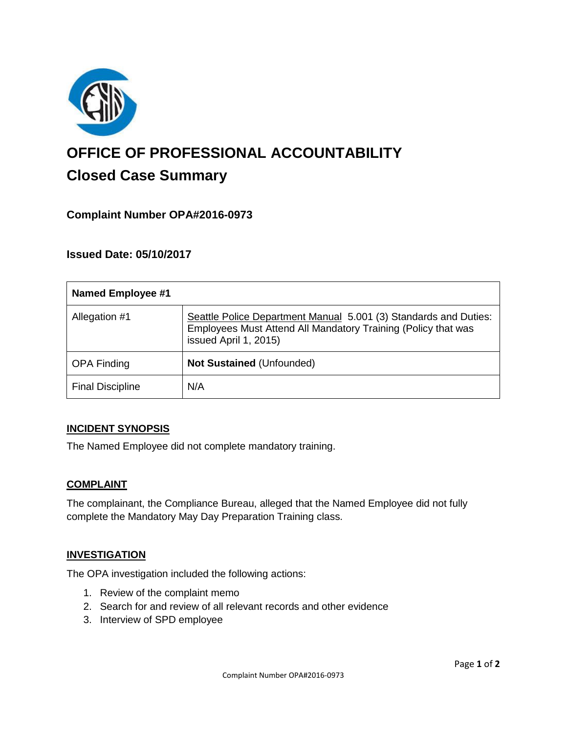

# **OFFICE OF PROFESSIONAL ACCOUNTABILITY Closed Case Summary**

# **Complaint Number OPA#2016-0973**

## **Issued Date: 05/10/2017**

| <b>Named Employee #1</b> |                                                                                                                                                            |
|--------------------------|------------------------------------------------------------------------------------------------------------------------------------------------------------|
| Allegation #1            | Seattle Police Department Manual 5.001 (3) Standards and Duties:<br>Employees Must Attend All Mandatory Training (Policy that was<br>issued April 1, 2015) |
| <b>OPA Finding</b>       | <b>Not Sustained (Unfounded)</b>                                                                                                                           |
| <b>Final Discipline</b>  | N/A                                                                                                                                                        |

#### **INCIDENT SYNOPSIS**

The Named Employee did not complete mandatory training.

#### **COMPLAINT**

The complainant, the Compliance Bureau, alleged that the Named Employee did not fully complete the Mandatory May Day Preparation Training class.

#### **INVESTIGATION**

The OPA investigation included the following actions:

- 1. Review of the complaint memo
- 2. Search for and review of all relevant records and other evidence
- 3. Interview of SPD employee